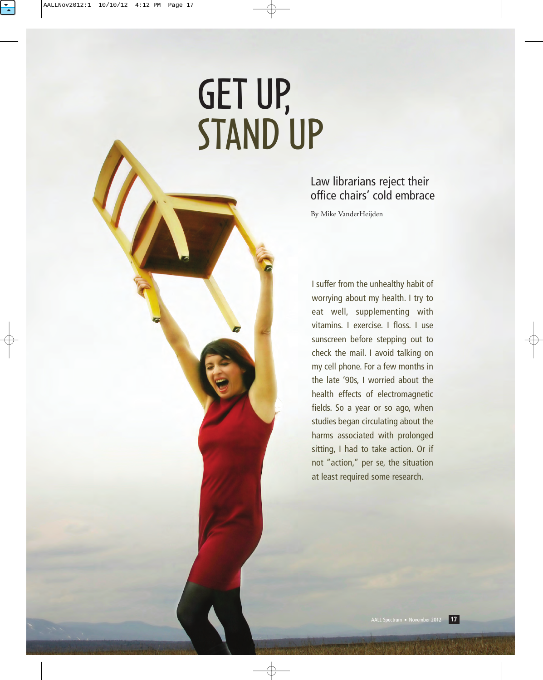# GET UP, STAND UP

# Law librarians reject their office chairs' cold embrace

By Mike VanderHeijden

I suffer from the unhealthy habit of worrying about my health. I try to eat well, supplementing with vitamins. I exercise. I floss. I use sunscreen before stepping out to check the mail. I avoid talking on my cell phone. For a few months in the late '90s, I worried about the health effects of electromagnetic fields. So a year or so ago, when studies began circulating about the harms associated with prolonged sitting, I had to take action. Or if not "action," per se, the situation at least required some research.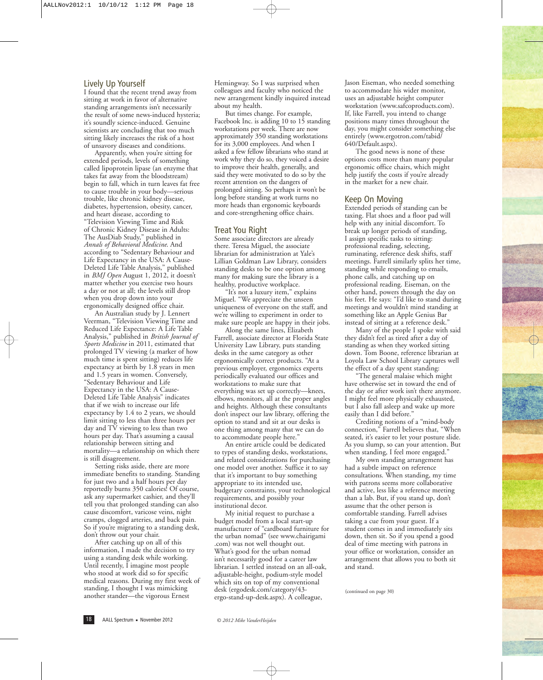## Lively Up Yourself

I found that the recent trend away from sitting at work in favor of alternative standing arrangements isn't necessarily the result of some news-induced hysteria; it's soundly science-induced. Genuine scientists are concluding that too much sitting likely increases the risk of a host of unsavory diseases and conditions.

Apparently, when you're sitting for extended periods, levels of something called lipoprotein lipase (an enzyme that takes fat away from the bloodstream) begin to fall, which in turn leaves fat free to cause trouble in your body—serious trouble, like chronic kidney disease, diabetes, hypertension, obesity, cancer, and heart disease, according to

"Television Viewing Time and Risk of Chronic Kidney Disease in Adults: The AusDiab Study," published in *Annals of Behavioral Medicine*. And according to "Sedentary Behaviour and Life Expectancy in the USA: A Cause-Deleted Life Table Analysis," published in *BMJ Open* August 1, 2012, it doesn't matter whether you exercise two hours a day or not at all; the levels still drop when you drop down into your ergonomically designed office chair.

An Australian study by J. Lennert Veerman, "Television Viewing Time and Reduced Life Expectance: A Life Table Analysis," published in *British Journal of Sports Medicine* in 2011, estimated that prolonged TV viewing (a marker of how much time is spent sitting) reduces life expectancy at birth by 1.8 years in men and 1.5 years in women. Conversely, "Sedentary Behaviour and Life Expectancy in the USA: A Cause-Deleted Life Table Analysis" indicates that if we wish to increase our life expectancy by 1.4 to 2 years, we should limit sitting to less than three hours per day and TV viewing to less than two hours per day. That's assuming a causal relationship between sitting and mortality—a relationship on which there is still disagreement.

Setting risks aside, there are more immediate benefits to standing. Standing for just two and a half hours per day reportedly burns 350 calories! Of course, ask any supermarket cashier, and they'll tell you that prolonged standing can also cause discomfort, varicose veins, night cramps, clogged arteries, and back pain. So if you're migrating to a standing desk, don't throw out your chair.

After catching up on all of this information, I made the decision to try using a standing desk while working. Until recently, I imagine most people who stood at work did so for specific medical reasons. During my first week of standing, I thought I was mimicking another stander—the vigorous Ernest

Hemingway. So I was surprised when colleagues and faculty who noticed the new arrangement kindly inquired instead about my health.

But times change. For example, Facebook Inc. is adding 10 to 15 standing workstations per week. There are now approximately 350 standing workstations for its 3,000 employees. And when I asked a few fellow librarians who stand at work why they do so, they voiced a desire to improve their health, generally, and said they were motivated to do so by the recent attention on the dangers of prolonged sitting. So perhaps it won't be long before standing at work turns no more heads than ergonomic keyboards and core-strengthening office chairs.

#### Treat You Right

Some associate directors are already there. Teresa Miguel, the associate librarian for administration at Yale's Lillian Goldman Law Library, considers standing desks to be one option among many for making sure the library is a healthy, productive workplace.

"It's not a luxury item," explains Miguel. "We appreciate the unseen uniqueness of everyone on the staff, and we're willing to experiment in order to make sure people are happy in their jobs.

Along the same lines, Elizabeth Farrell, associate director at Florida State University Law Library, puts standing desks in the same category as other ergonomically correct products. "At a previous employer, ergonomics experts periodically evaluated our offices and workstations to make sure that everything was set up correctly—knees, elbows, monitors, all at the proper angles and heights. Although these consultants don't inspect our law library, offering the option to stand and sit at our desks is one thing among many that we can do to accommodate people here."

An entire article could be dedicated to types of standing desks, workstations, and related considerations for purchasing one model over another. Suffice it to say that it's important to buy something appropriate to its intended use, budgetary constraints, your technological requirements, and possibly your institutional decor.

My initial request to purchase a budget model from a local start-up manufacturer of "cardboard furniture for the urban nomad" (see www.chairigami .com) was not well thought out. What's good for the urban nomad isn't necessarily good for a career law librarian. I settled instead on an all-oak, adjustable-height, podium-style model which sits on top of my conventional desk (ergodesk.com/category/43 ergo-stand-up-desk.aspx). A colleague,

Jason Eiseman, who needed something to accommodate his wider monitor, uses an adjustable height computer workstation (www.safcoproducts.com). If, like Farrell, you intend to change positions many times throughout the day, you might consider something else entirely (www.ergotron.com/tabid/ 640/Default.aspx).

The good news is none of these options costs more than many popular ergonomic office chairs, which might help justify the costs if you're already in the market for a new chair.

#### Keep On Moving

Extended periods of standing can be taxing. Flat shoes and a floor pad will help with any initial discomfort. To break up longer periods of standing, I assign specific tasks to sitting: professional reading, selecting, ruminating, reference desk shifts, staff meetings. Farrell similarly splits her time, standing while responding to emails, phone calls, and catching up on professional reading. Eiseman, on the other hand, powers through the day on his feet. He says: "I'd like to stand during meetings and wouldn't mind standing at something like an Apple Genius Bar instead of sitting at a reference desk."

Many of the people I spoke with said they didn't feel as tired after a day of standing as when they worked sitting down. Tom Boone, reference librarian at Loyola Law School Library captures well the effect of a day spent standing:

"The general malaise which might have otherwise set in toward the end of the day or after work isn't there anymore. I might feel more physically exhausted, but I also fall asleep and wake up more easily than I did before."

Crediting notions of a "mind-body connection," Farrell believes that, "When seated, it's easier to let your posture slide. As you slump, so can your attention. But when standing, I feel more engaged."

My own standing arrangement has had a subtle impact on reference consultations. When standing, my time with patrons seems more collaborative and active, less like a reference meeting than a lab. But, if you stand up, don't assume that the other person is comfortable standing. Farrell advises taking a cue from your guest. If a student comes in and immediately sits down, then sit. So if you spend a good deal of time meeting with patrons in your office or workstation, consider an arrangement that allows you to both sit and stand.

(continued on page 30)